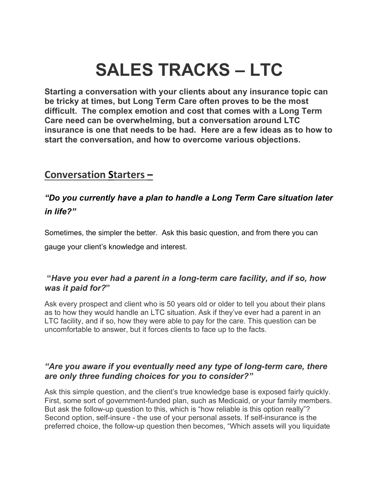# **SALES TRACKS – LTC**

**Starting a conversation with your clients about any insurance topic can be tricky at times, but Long Term Care often proves to be the most difficult. The complex emotion and cost that comes with a Long Term Care need can be overwhelming, but a conversation around LTC insurance is one that needs to be had. Here are a few ideas as to how to start the conversation, and how to overcome various objections.**

## **Conversation Starters –**

## *"Do you currently have a plan to handle a Long Term Care situation later in life?"*

Sometimes, the simpler the better. Ask this basic question, and from there you can

gauge your client's knowledge and interest.

## **"***Have you ever had a parent in a long-term care facility, and if so, how was it paid for?***"**

Ask every prospect and client who is 50 years old or older to tell you about their plans as to how they would handle an LTC situation. Ask if they've ever had a parent in an LTC facility, and if so, how they were able to pay for the care. This question can be uncomfortable to answer, but it forces clients to face up to the facts.

## *"Are you aware if you eventually need any type of long-term care, there are only three funding choices for you to consider?"*

Ask this simple question, and the client's true knowledge base is exposed fairly quickly. First, some sort of government-funded plan, such as Medicaid, or your family members. But ask the follow-up question to this, which is "how reliable is this option really"? Second option, self-insure - the use of your personal assets. If self-insurance is the preferred choice, the follow-up question then becomes, "Which assets will you liquidate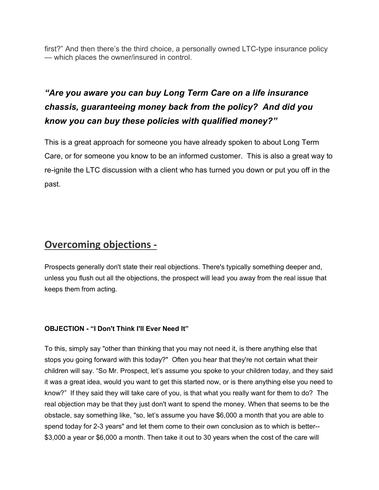first?" And then there's the third choice, a personally owned LTC-type insurance policy — which places the owner/insured in control.

# *"Are you aware you can buy Long Term Care on a life insurance chassis, guaranteeing money back from the policy? And did you know you can buy these policies with qualified money?"*

This is a great approach for someone you have already spoken to about Long Term Care, or for someone you know to be an informed customer. This is also a great way to re-ignite the LTC discussion with a client who has turned you down or put you off in the past.

## **Overcoming objections -**

Prospects generally don't state their real objections. There's typically something deeper and, unless you flush out all the objections, the prospect will lead you away from the real issue that keeps them from acting.

#### **OBJECTION - "I Don't Think I'll Ever Need It"**

To this, simply say "other than thinking that you may not need it, is there anything else that stops you going forward with this today?" Often you hear that they're not certain what their children will say. "So Mr. Prospect, let's assume you spoke to your children today, and they said it was a great idea, would you want to get this started now, or is there anything else you need to know?" If they said they will take care of you, is that what you really want for them to do? The real objection may be that they just don't want to spend the money. When that seems to be the obstacle, say something like, "so, let's assume you have \$6,000 a month that you are able to spend today for 2-3 years" and let them come to their own conclusion as to which is better-- \$3,000 a year or \$6,000 a month. Then take it out to 30 years when the cost of the care will